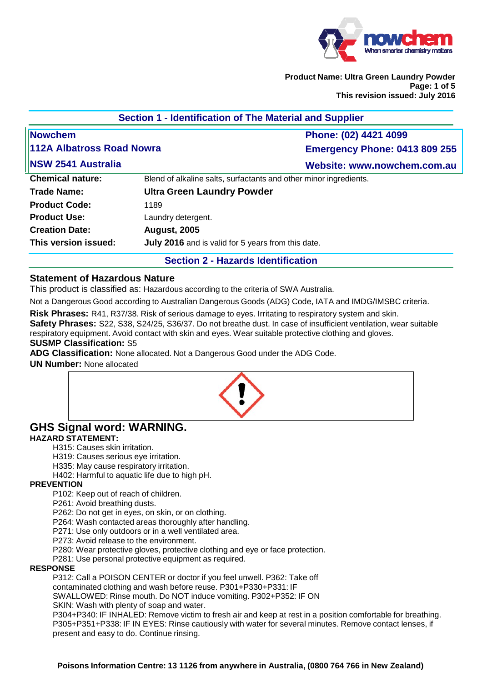

**Product Name: Ultra Green Laundry Powder Page: 1 of 5 This revision issued: July 2016** 

| Section 1 - Identification of The Material and Supplier |                                                                   |                                      |
|---------------------------------------------------------|-------------------------------------------------------------------|--------------------------------------|
| Nowchem                                                 |                                                                   | Phone: (02) 4421 4099                |
| 112A Albatross Road Nowra                               |                                                                   | <b>Emergency Phone: 0413 809 255</b> |
| <b>NSW 2541 Australia</b>                               |                                                                   | Website: www.nowchem.com.au          |
| <b>Chemical nature:</b>                                 | Blend of alkaline salts, surfactants and other minor ingredients. |                                      |
| Trade Name:                                             | <b>Ultra Green Laundry Powder</b>                                 |                                      |
| <b>Product Code:</b>                                    | 1189                                                              |                                      |
| <b>Product Use:</b>                                     | Laundry detergent.                                                |                                      |
| <b>Creation Date:</b>                                   | <b>August, 2005</b>                                               |                                      |
| This version issued:                                    | July 2016 and is valid for 5 years from this date.                |                                      |
|                                                         |                                                                   |                                      |

#### **Section 2 - Hazards Identification**

#### **Statement of Hazardous Nature**

This product is classified as: Hazardous according to the criteria of SWA Australia.

Not a Dangerous Good according to Australian Dangerous Goods (ADG) Code, IATA and IMDG/IMSBC criteria.

**Risk Phrases:** R41, R37/38. Risk of serious damage to eyes. Irritating to respiratory system and skin.

**Safety Phrases:** S22, S38, S24/25, S36/37. Do not breathe dust. In case of insufficient ventilation, wear suitable respiratory equipment. Avoid contact with skin and eyes. Wear suitable protective clothing and gloves.

# **SUSMP Classification:** S5

**ADG Classification:** None allocated. Not a Dangerous Good under the ADG Code.

#### **UN Number:** None allocated



# **GHS Signal word: WARNING.**

# **HAZARD STATEMENT:**

H315: Causes skin irritation.

H319: Causes serious eye irritation.

H335: May cause respiratory irritation.

H402: Harmful to aquatic life due to high pH.

#### **PREVENTION**

P102: Keep out of reach of children.

P261: Avoid breathing dusts.

P262: Do not get in eyes, on skin, or on clothing.

P264: Wash contacted areas thoroughly after handling.

P271: Use only outdoors or in a well ventilated area.

P273: Avoid release to the environment.

P280: Wear protective gloves, protective clothing and eye or face protection.

P281: Use personal protective equipment as required.

#### **RESPONSE**

P312: Call a POISON CENTER or doctor if you feel unwell. P362: Take off contaminated clothing and wash before reuse. P301+P330+P331: IF

SWALLOWED: Rinse mouth. Do NOT induce vomiting. P302+P352: IF ON

SKIN: Wash with plenty of soap and water.

P304+P340: IF INHALED: Remove victim to fresh air and keep at rest in a position comfortable for breathing. P305+P351+P338: IF IN EYES: Rinse cautiously with water for several minutes. Remove contact lenses, if present and easy to do. Continue rinsing.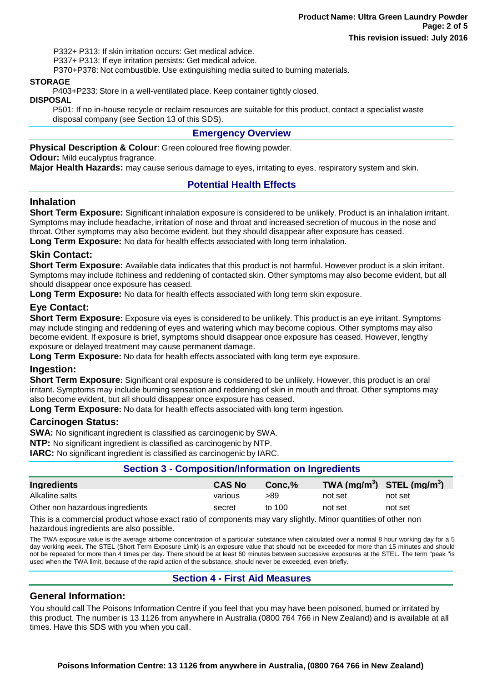P332+ P313: If skin irritation occurs: Get medical advice.

P337+ P313: If eye irritation persists: Get medical advice.

P370+P378: Not combustible. Use extinguishing media suited to burning materials.

#### **STORAGE**

P403+P233: Store in a well-ventilated place. Keep container tightly closed.

**DISPOSAL**

P501: If no in-house recycle or reclaim resources are suitable for this product, contact a specialist waste disposal company (see Section 13 of this SDS).

#### **Emergency Overview**

**Physical Description & Colour:** Green coloured free flowing powder. **Odour:** Mild eucalyptus fragrance.

**Major Health Hazards:** may cause serious damage to eyes, irritating to eyes, respiratory system and skin.

#### **Potential Health Effects**

#### **Inhalation**

**Short Term Exposure:** Significant inhalation exposure is considered to be unlikely. Product is an inhalation irritant. Symptoms may include headache, irritation of nose and throat and increased secretion of mucous in the nose and throat. Other symptoms may also become evident, but they should disappear after exposure has ceased.

**Long Term Exposure:** No data for health effects associated with long term inhalation.

#### **Skin Contact:**

**Short Term Exposure:** Available data indicates that this product is not harmful. However product is a skin irritant. Symptoms may include itchiness and reddening of contacted skin. Other symptoms may also become evident, but all should disappear once exposure has ceased.

**Long Term Exposure:** No data for health effects associated with long term skin exposure.

## **Eye Contact:**

**Short Term Exposure:** Exposure via eyes is considered to be unlikely. This product is an eye irritant. Symptoms may include stinging and reddening of eyes and watering which may become copious. Other symptoms may also become evident. If exposure is brief, symptoms should disappear once exposure has ceased. However, lengthy exposure or delayed treatment may cause permanent damage.

**Long Term Exposure:** No data for health effects associated with long term eye exposure.

#### **Ingestion:**

**Short Term Exposure:** Significant oral exposure is considered to be unlikely. However, this product is an oral irritant. Symptoms may include burning sensation and reddening of skin in mouth and throat. Other symptoms may also become evident, but all should disappear once exposure has ceased.

**Long Term Exposure:** No data for health effects associated with long term ingestion.

#### **Carcinogen Status:**

**SWA:** No significant ingredient is classified as carcinogenic by SWA.

**NTP:** No significant ingredient is classified as carcinogenic by NTP.

**IARC:** No significant ingredient is classified as carcinogenic by IARC.

#### **Section 3 - Composition/Information on Ingredients**

| Ingredients                     | <b>CAS No</b> | $Conc.\%$ | TWA $(mg/m^3)$ STEL $(mg/m^3)$ |         |
|---------------------------------|---------------|-----------|--------------------------------|---------|
| Alkaline salts                  | various       | >89       | not set                        | not set |
| Other non hazardous ingredients | secret        | to 100    | not set                        | not set |

This is a commercial product whose exact ratio of components may vary slightly. Minor quantities of other non hazardous ingredients are also possible.

The TWA exposure value is the average airborne concentration of a particular substance when calculated over a normal 8 hour working day for a 5 day working week. The STEL (Short Term Exposure Limit) is an exposure value that should not be exceeded for more than 15 minutes and should not be repeated for more than 4 times per day. There should be at least 60 minutes between successive exposures at the STEL. The term "peak "is used when the TWA limit, because of the rapid action of the substance, should never be exceeded, even briefly.

#### **Section 4 - First Aid Measures**

#### **General Information:**

You should call The Poisons Information Centre if you feel that you may have been poisoned, burned or irritated by this product. The number is 13 1126 from anywhere in Australia (0800 764 766 in New Zealand) and is available at all times. Have this SDS with you when you call.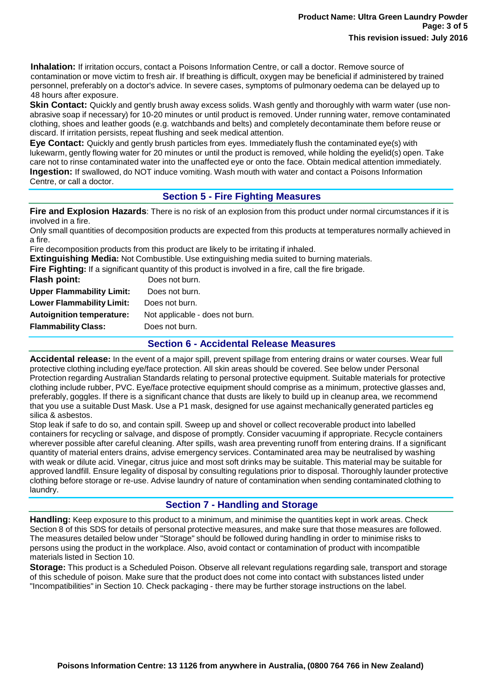**Inhalation:** If irritation occurs, contact a Poisons Information Centre, or call a doctor. Remove source of contamination or move victim to fresh air. If breathing is difficult, oxygen may be beneficial if administered by trained personnel, preferably on a doctor's advice. In severe cases, symptoms of pulmonary oedema can be delayed up to 48 hours after exposure.

**Skin Contact:** Quickly and gently brush away excess solids. Wash gently and thoroughly with warm water (use nonabrasive soap if necessary) for 10-20 minutes or until product is removed. Under running water, remove contaminated clothing, shoes and leather goods (e.g. watchbands and belts) and completely decontaminate them before reuse or discard. If irritation persists, repeat flushing and seek medical attention.

**Eye Contact:** Quickly and gently brush particles from eyes. Immediately flush the contaminated eye(s) with lukewarm, gently flowing water for 20 minutes or until the product is removed, while holding the eyelid(s) open. Take care not to rinse contaminated water into the unaffected eye or onto the face. Obtain medical attention immediately. **Ingestion:** If swallowed, do NOT induce vomiting. Wash mouth with water and contact a Poisons Information Centre, or call a doctor.

## **Section 5 - Fire Fighting Measures**

**Fire and Explosion Hazards**: There is no risk of an explosion from this product under normal circumstances if it is involved in a fire.

Only small quantities of decomposition products are expected from this products at temperatures normally achieved in a fire.

Fire decomposition products from this product are likely to be irritating if inhaled.

**Extinguishing Media:** Not Combustible. Use extinguishing media suited to burning materials.

**Fire Fighting:** If a significant quantity of this product is involved in a fire, call the fire brigade.

| Flash point:                     | Does not burn.                  |
|----------------------------------|---------------------------------|
| <b>Upper Flammability Limit:</b> | Does not burn.                  |
| <b>Lower Flammability Limit:</b> | Does not burn.                  |
| <b>Autoignition temperature:</b> | Not applicable - does not burn. |
| <b>Flammability Class:</b>       | Does not burn.                  |
|                                  |                                 |

#### **Section 6 - Accidental Release Measures**

**Accidental release:** In the event of a major spill, prevent spillage from entering drains or water courses. Wear full protective clothing including eye/face protection. All skin areas should be covered. See below under Personal Protection regarding Australian Standards relating to personal protective equipment. Suitable materials for protective clothing include rubber, PVC. Eye/face protective equipment should comprise as a minimum, protective glasses and, preferably, goggles. If there is a significant chance that dusts are likely to build up in cleanup area, we recommend that you use a suitable Dust Mask. Use a P1 mask, designed for use against mechanically generated particles eg silica & asbestos.

Stop leak if safe to do so, and contain spill. Sweep up and shovel or collect recoverable product into labelled containers for recycling or salvage, and dispose of promptly. Consider vacuuming if appropriate. Recycle containers wherever possible after careful cleaning. After spills, wash area preventing runoff from entering drains. If a significant quantity of material enters drains, advise emergency services. Contaminated area may be neutralised by washing with weak or dilute acid. Vinegar, citrus juice and most soft drinks may be suitable. This material may be suitable for approved landfill. Ensure legality of disposal by consulting regulations prior to disposal. Thoroughly launder protective clothing before storage or re-use. Advise laundry of nature of contamination when sending contaminated clothing to laundry.

# **Section 7 - Handling and Storage**

**Handling:** Keep exposure to this product to a minimum, and minimise the quantities kept in work areas. Check Section 8 of this SDS for details of personal protective measures, and make sure that those measures are followed. The measures detailed below under "Storage" should be followed during handling in order to minimise risks to persons using the product in the workplace. Also, avoid contact or contamination of product with incompatible materials listed in Section 10.

**Storage:** This product is a Scheduled Poison. Observe all relevant regulations regarding sale, transport and storage of this schedule of poison. Make sure that the product does not come into contact with substances listed under "Incompatibilities" in Section 10. Check packaging - there may be further storage instructions on the label.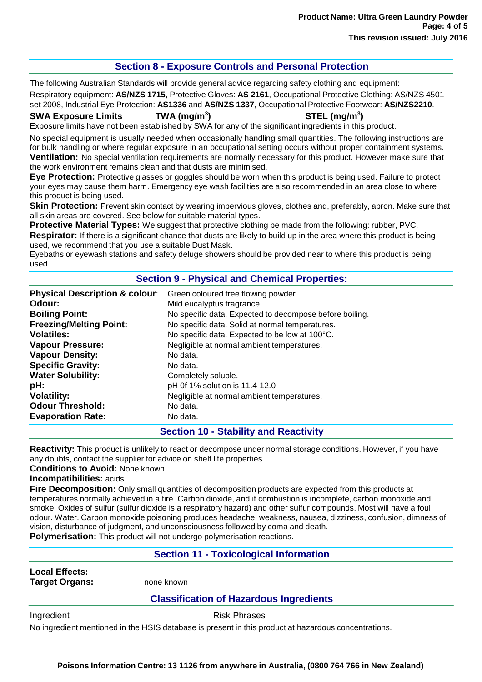# **Section 8 - Exposure Controls and Personal Protection**

The following Australian Standards will provide general advice regarding safety clothing and equipment: Respiratory equipment: **AS/NZS 1715**, Protective Gloves: **AS 2161**, Occupational Protective Clothing: AS/NZS 4501 set 2008, Industrial Eye Protection: **AS1336** and **AS/NZS 1337**, Occupational Protective Footwear: **AS/NZS2210**.

**SWA Exposure Limits TWA (mg/m<sup>3</sup>**

**) STEL (mg/m<sup>3</sup> )**

Exposure limits have not been established by SWA for any of the significant ingredients in this product.

No special equipment is usually needed when occasionally handling small quantities. The following instructions are for bulk handling or where regular exposure in an occupational setting occurs without proper containment systems. **Ventilation:** No special ventilation requirements are normally necessary for this product. However make sure that the work environment remains clean and that dusts are minimised.

**Eye Protection:** Protective glasses or goggles should be worn when this product is being used. Failure to protect your eyes may cause them harm. Emergency eye wash facilities are also recommended in an area close to where this product is being used.

**Skin Protection:** Prevent skin contact by wearing impervious gloves, clothes and, preferably, apron. Make sure that all skin areas are covered. See below for suitable material types.

**Protective Material Types:** We suggest that protective clothing be made from the following: rubber, PVC. **Respirator:** If there is a significant chance that dusts are likely to build up in the area where this product is being used, we recommend that you use a suitable Dust Mask.

Eyebaths or eyewash stations and safety deluge showers should be provided near to where this product is being used.

#### **Section 9 - Physical and Chemical Properties:**

| <b>Physical Description &amp; colour:</b> | Green coloured free flowing powder.                     |
|-------------------------------------------|---------------------------------------------------------|
| Odour:                                    | Mild eucalyptus fragrance.                              |
| <b>Boiling Point:</b>                     | No specific data. Expected to decompose before boiling. |
| <b>Freezing/Melting Point:</b>            | No specific data. Solid at normal temperatures.         |
| <b>Volatiles:</b>                         | No specific data. Expected to be low at 100°C.          |
| <b>Vapour Pressure:</b>                   | Negligible at normal ambient temperatures.              |
| <b>Vapour Density:</b>                    | No data.                                                |
| <b>Specific Gravity:</b>                  | No data.                                                |
| <b>Water Solubility:</b>                  | Completely soluble.                                     |
| pH:                                       | pH 0f 1% solution is 11.4-12.0                          |
| <b>Volatility:</b>                        | Negligible at normal ambient temperatures.              |
| <b>Odour Threshold:</b>                   | No data.                                                |
| <b>Evaporation Rate:</b>                  | No data.                                                |

#### **Section 10 - Stability and Reactivity**

**Reactivity:** This product is unlikely to react or decompose under normal storage conditions. However, if you have any doubts, contact the supplier for advice on shelf life properties.

**Conditions to Avoid:** None known.

## **Incompatibilities:** acids.

**Fire Decomposition:** Only small quantities of decomposition products are expected from this products at temperatures normally achieved in a fire. Carbon dioxide, and if combustion is incomplete, carbon monoxide and smoke. Oxides of sulfur (sulfur dioxide is a respiratory hazard) and other sulfur compounds. Most will have a foul odour. Water. Carbon monoxide poisoning produces headache, weakness, nausea, dizziness, confusion, dimness of vision, disturbance of judgment, and unconsciousness followed by coma and death. **Polymerisation:** This product will not undergo polymerisation reactions.

#### **Section 11 - Toxicological Information**

**Local Effects:**

**Target Organs:** none known

# **Classification of Hazardous Ingredients**

Ingredient **Risk Phrases** 

No ingredient mentioned in the HSIS database is present in this product at hazardous concentrations.